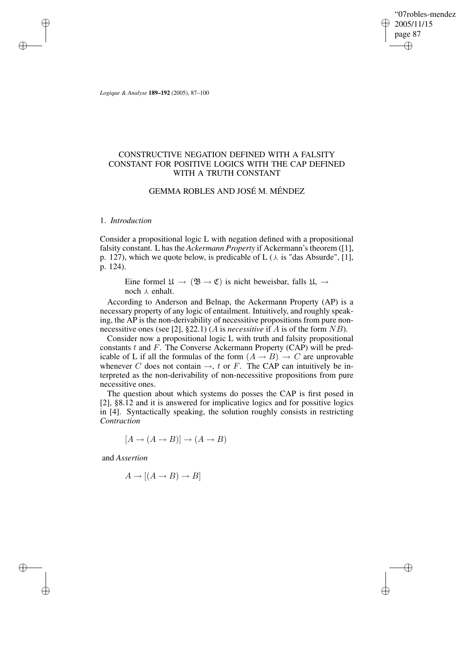"07robles-mendez" 2005/11/15 page 87 ✐ ✐

✐

✐

*Logique & Analyse* **189–192** (2005), 87–100

# CONSTRUCTIVE NEGATION DEFINED WITH A FALSITY CONSTANT FOR POSITIVE LOGICS WITH THE CAP DEFINED WITH A TRUTH CONSTANT

# GEMMA ROBLES AND JOSÉ M. MÉNDEZ

#### 1. *Introduction*

✐

✐

✐

✐

Consider a propositional logic L with negation defined with a propositional falsity constant. L has the *Ackermann Property* if Ackermann's theorem ([1], p. 127), which we quote below, is predicable of L  $(\lambda$  is "das Absurde", [1], p. 124).

Eine formel  $\mathfrak{U} \to (\mathfrak{B} \to \mathfrak{C})$  is nicht beweisbar, falls  $\mathfrak{U}, \to$ noch  $\lambda$  enhalt.

According to Anderson and Belnap, the Ackermann Property (AP) is a necessary property of any logic of entailment. Intuitively, and roughly speaking, the AP is the non-derivability of necessitive propositions from pure nonnecessitive ones (see [2], §22.1) (A is *necessitive* if A is of the form NB).

Consider now a propositional logic L with truth and falsity propositional constants  $t$  and  $F$ . The Converse Ackermann Property (CAP) will be predicable of L if all the formulas of the form  $(A \rightarrow B) \rightarrow C$  are unprovable whenever C does not contain  $\rightarrow$ , t or F. The CAP can intuitively be interpreted as the non-derivability of non-necessitive propositions from pure necessitive ones.

The question about which systems do posses the CAP is first posed in [2], §8.12 and it is answered for implicative logics and for possitive logics in [4]. Syntactically speaking, the solution roughly consists in restricting *Contraction*

 $[A \rightarrow (A \rightarrow B)] \rightarrow (A \rightarrow B)$ 

and *Assertion*

$$
A \to [(A \to B) \to B]
$$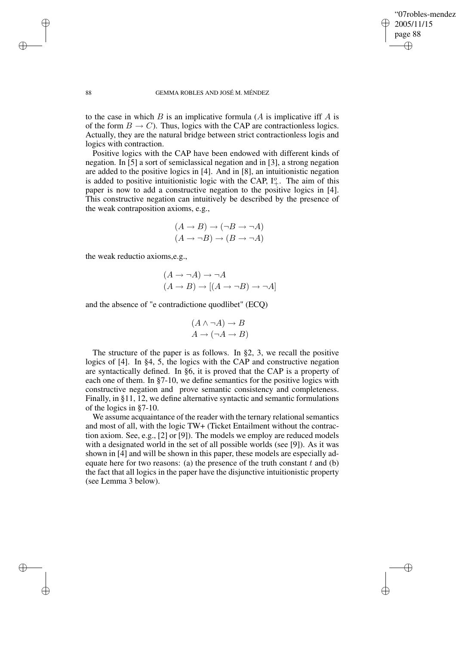✐

#### 88 GEMMA ROBLES AND JOSÉ M. MÉNDEZ

to the case in which  $B$  is an implicative formula  $(A$  is implicative iff  $A$  is of the form  $B \to C$ ). Thus, logics with the CAP are contractionless logics. Actually, they are the natural bridge between strict contractionless logis and logics with contraction.

Positive logics with the CAP have been endowed with different kinds of negation. In [5] a sort of semiclassical negation and in [3], a strong negation are added to the positive logics in [4]. And in [8], an intuitionistic negation is added to positive intuitionistic logic with the CAP,  $I^o_+$ . The aim of this paper is now to add a constructive negation to the positive logics in [4]. This constructive negation can intuitively be described by the presence of the weak contraposition axioms, e.g.,

$$
(A \to B) \to (\neg B \to \neg A)
$$

$$
(A \to \neg B) \to (B \to \neg A)
$$

the weak reductio axioms,e.g.,

$$
(A \to \neg A) \to \neg A
$$
  

$$
(A \to B) \to [(A \to \neg B) \to \neg A]
$$

and the absence of "e contradictione quodlibet" (ECQ)

$$
(A \land \neg A) \to B
$$

$$
A \to (\neg A \to B)
$$

The structure of the paper is as follows. In §2, 3, we recall the positive logics of [4]. In §4, 5, the logics with the CAP and constructive negation are syntactically defined. In §6, it is proved that the CAP is a property of each one of them. In §7-10, we define semantics for the positive logics with constructive negation and prove semantic consistency and completeness. Finally, in §11, 12, we define alternative syntactic and semantic formulations of the logics in §7-10.

We assume acquaintance of the reader with the ternary relational semantics and most of all, with the logic TW+ (Ticket Entailment without the contraction axiom. See, e.g., [2] or [9]). The models we employ are reduced models with a designated world in the set of all possible worlds (see [9]). As it was shown in [4] and will be shown in this paper, these models are especially adequate here for two reasons: (a) the presence of the truth constant t and (b) the fact that all logics in the paper have the disjunctive intuitionistic property (see Lemma 3 below).

✐

✐

✐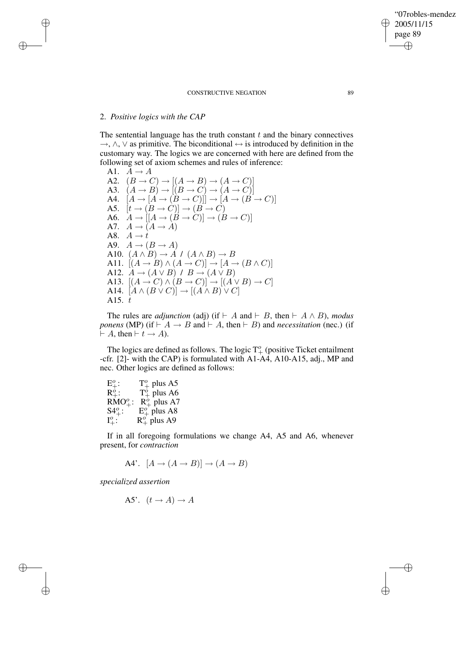#### CONSTRUCTIVE NEGATION 89

### 2. *Positive logics with the CAP*

✐

✐

✐

✐

The sentential language has the truth constant  $t$  and the binary connectives  $\rightarrow$ ,  $\land$ ,  $\lor$  as primitive. The biconditional  $\leftrightarrow$  is introduced by definition in the customary way. The logics we are concerned with here are defined from the following set of axiom schemes and rules of inference:

A1.  $A \rightarrow A$ A2.  $(B \to C) \to [(A \to B) \to (A \to C)]$ A3.  $(A \rightarrow B) \rightarrow [(B \rightarrow C) \rightarrow (A \rightarrow C)]$ A4.  $[A \rightarrow (B \rightarrow C)]] \rightarrow [A \rightarrow (B \rightarrow C)]$ A5.  $[t \rightarrow (B \rightarrow C)] \rightarrow (B \rightarrow C)$ A6.  $A \rightarrow [[A \rightarrow (B \rightarrow C)] \rightarrow (B \rightarrow C)]$ A7.  $A \rightarrow (A \rightarrow A)$ A8.  $A \rightarrow \dot{t}$ A9.  $A \rightarrow (B \rightarrow A)$ A10.  $(A \wedge B) \rightarrow A / (A \wedge B) \rightarrow B$ A11.  $[(A \rightarrow B) \land (A \rightarrow C)] \rightarrow [A \rightarrow (B \land C)]$ A12.  $A \rightarrow (A \vee B) / B \rightarrow (A \vee B)$ A13.  $[(A \rightarrow C) \land (B \rightarrow C)] \rightarrow [(A \lor B) \rightarrow C]$ A14.  $[A \wedge (B \vee C)] \rightarrow [(A \wedge B) \vee C]$ A15.  $\dot{t}$ 

The rules are *adjunction* (adj) (if  $\vdash A$  and  $\vdash B$ , then  $\vdash A \land B$ ), *modus ponens* (MP) (if  $\vdash A \rightarrow B$  and  $\vdash A$ , then  $\vdash B$ ) and *necessitation* (nec.) (if  $\vdash A$ , then  $\vdash t \rightarrow A$ ).

The logics are defined as follows. The logic  $T^o_+$  (positive Ticket entailment -cfr. [2]- with the CAP) is formulated with A1-A4, A10-A15, adj., MP and nec. Other logics are defined as follows:

| $E^{\prime}$ :  | $T_{+}^{o}$ plus A5 |
|-----------------|---------------------|
| $R^{\circ}$     | $T^o_+$ plus A6     |
| $RMO_{+}^{o}$ : | $R_{+}^{o}$ plus A7 |
| $S4^{o}_{+}$ :  | $E^o_+$ plus A8     |
|                 | $R_{+}^{o}$ plus A9 |

If in all foregoing formulations we change A4, A5 and A6, whenever present, for *contraction*

A4'.  $[A \rightarrow (A \rightarrow B)] \rightarrow (A \rightarrow B)$ 

*specialized assertion*

A5'.  $(t \rightarrow A) \rightarrow A$ 

"07robles-mendez"

 $\bigcirc$  2005/11/15 page 89

✐

✐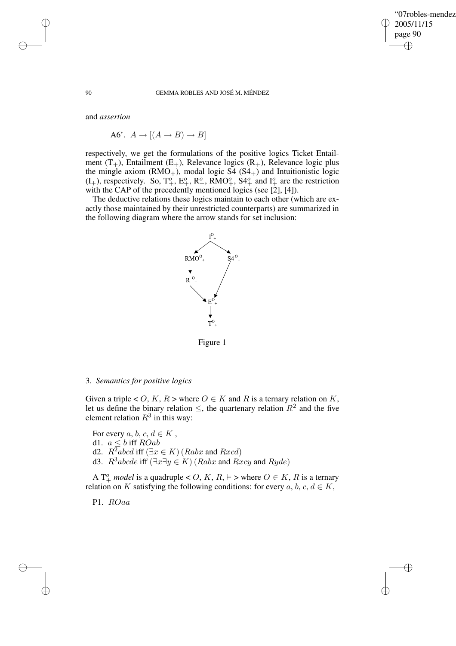✐

#### 90 GEMMA ROBLES AND JOSÉ M. MÉNDEZ

and *assertion*

A6'.  $A \rightarrow [(A \rightarrow B) \rightarrow B]$ 

respectively, we get the formulations of the positive logics Ticket Entailment  $(T_{+})$ , Entailment  $(E_{+})$ , Relevance logics  $(R_{+})$ , Relevance logic plus the mingle axiom  $(RMO_+)$ , modal logic S4  $(S4_+)$  and Intuitionistic logic  $(I_+)$ , respectively. So,  $T_+^o$ ,  $E_+^o$ ,  $R_+^o$ ,  $RMO_+^o$ ,  $S4_+^o$  and  $I_+^o$  are the restriction with the CAP of the precedently mentioned logics (see [2], [4]).

The deductive relations these logics maintain to each other (which are exactly those maintained by their unrestricted counterparts) are summarized in the following diagram where the arrow stands for set inclusion:



Figure 1

#### 3. *Semantics for positive logics*

Given a triple < O, K, R > where  $O \in K$  and R is a ternary relation on K, let us define the binary relation  $\leq$ , the quartenary relation  $R^2$  and the five element relation  $R^3$  in this way:

For every a, b, c,  $d \in K$ , d1.  $a \leq b$  iff  $ROab$ d2.  $R^2abcd$  iff  $(\exists x \in K)(Rabx$  and  $Rxcd)$ d3.  $R^3abcde$  iff  $(\exists x \exists y \in K)$  (*Rabx* and *Rxcy* and *Ryde*)

A  $T^o_+$  *model* is a quadruple < O, K, R,  $\models$  > where  $O \in K$ , R is a ternary relation on K satisfying the following conditions: for every  $a, b, c, d \in K$ ,

P1. ROaa

✐

✐

✐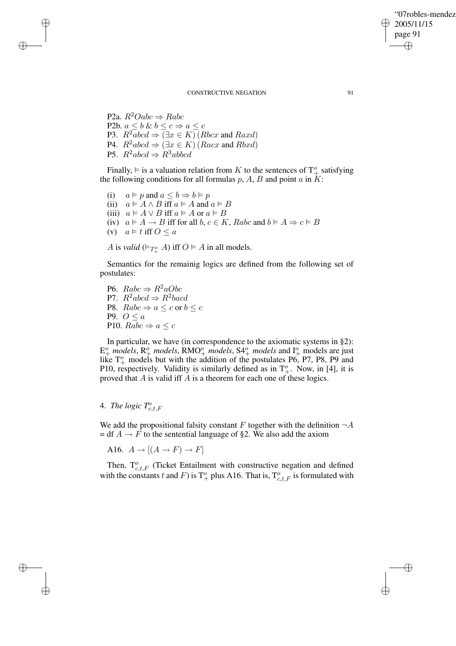✐

#### CONSTRUCTIVE NEGATION 91

P2a.  $R^2Oabc \Rightarrow Rabc$ P2b.  $a \leq b \& b \leq c \Rightarrow a \leq c$ P3.  $R^2abcd \Rightarrow (\exists x \in K)(Rbcx \text{ and } Raxd)$ P4.  $R^2abcd \Rightarrow (\exists x \in K)(Racx \text{ and } Rbxd)$ P5.  $R^2abcd \Rightarrow R^3abcd$ 

✐

✐

✐

✐

Finally,  $\models$  is a valuation relation from K to the sentences of  $T^o_+$  satisfying the following conditions for all formulas  $p$ ,  $A$ ,  $B$  and point  $a$  in  $K$ :

(i)  $a \vDash p$  and  $a \leq b \Rightarrow b \vDash p$ (ii)  $a \models A \land B$  iff  $a \models A$  and  $a \models B$ (iii)  $a \models A \lor B$  iff  $a \models A$  or  $a \models B$ (iv)  $a \models A \rightarrow B$  iff for all  $b, c \in K$ , Rabc and  $b \models A \Rightarrow c \models B$ (v)  $a \models t$  iff  $0 \leq a$ 

A is *valid* ( $\models T^o_+$  A) iff  $O \models A$  in all models.

Semantics for the remainig logics are defined from the following set of postulates:

P6.  $Rabc \Rightarrow R^2aObc$ P7.  $R^2abcd \Rightarrow R^2bacd$ P8.  $Rabc \Rightarrow a \leq c$  or  $b \leq c$ P9.  $O \leq a$ P10.  $Rabc \Rightarrow a \leq c$ 

In particular, we have (in correspondence to the axiomatic systems in §2):  $E^o_+$  *models*,  $R^o_+$  *models*,  $RMO^o_+$  *models*,  $S4^o_+$  *models* and  $I^o_+$  models are just like  $T^o_+$  models but with the addition of the postulates P6, P7, P8, P9 and P10, respectively. Validity is similarly defined as in  $T^o_+$ . Now, in [4], it is proved that A is valid iff A is a theorem for each one of these logics.

# 4. *The logic*  $T_{c,t,F}^o$

We add the propositional falsity constant F together with the definition  $\neg A$  $= df A \rightarrow F$  to the sentential language of §2. We also add the axiom

A16.  $A \rightarrow [(A \rightarrow F) \rightarrow F]$ 

Then,  $T_{c,t,F}^o$  (Ticket Entailment with constructive negation and defined with the constants t and F) is  $T^o_+$  plus A16. That is,  $T^o_{c,t,F}$  is formulated with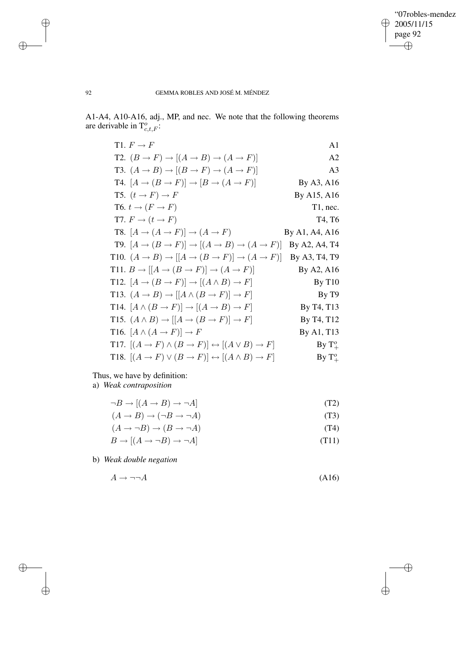$\bigoplus$ 

 $\oplus$ 

# 92 GEMMA ROBLES AND JOSÉ M. MÉNDEZ

A1-A4, A10-A16, adj., MP, and nec. We note that the following theorems are derivable in  $T_{c,t,F}^o$ :

| T1. $F \to F$                                                                                                | A <sub>1</sub>    |
|--------------------------------------------------------------------------------------------------------------|-------------------|
| T2. $(B \to F) \to [(A \to B) \to (A \to F)]$                                                                | A <sub>2</sub>    |
| T3. $(A \rightarrow B) \rightarrow [(B \rightarrow F) \rightarrow (A \rightarrow F)]$                        | A <sub>3</sub>    |
| T4. $[A \rightarrow (B \rightarrow F)] \rightarrow [B \rightarrow (A \rightarrow F)]$                        | By A3, A16        |
| T5. $(t \rightarrow F) \rightarrow F$                                                                        | By A15, A16       |
| T6. $t \to (F \to F)$                                                                                        | $T1$ , nec.       |
| T7. $F \to (t \to F)$                                                                                        | T4, T6            |
| T8. $[A \rightarrow (A \rightarrow F)] \rightarrow (A \rightarrow F)$                                        | By A1, A4, A16    |
| <b>T9.</b> $[A \rightarrow (B \rightarrow F)] \rightarrow [(A \rightarrow B) \rightarrow (A \rightarrow F)]$ | By A2, A4, T4     |
| T10. $(A \rightarrow B) \rightarrow [(A \rightarrow (B \rightarrow F)] \rightarrow (A \rightarrow F)]$       | By A3, T4, T9     |
| T11. $B \to [[A \to (B \to F)] \to (A \to F)]$                                                               | By A2, A16        |
| T12. $[A \rightarrow (B \rightarrow F)] \rightarrow [(A \wedge B) \rightarrow F]$                            | By T10            |
| T13. $(A \rightarrow B) \rightarrow [[A \wedge (B \rightarrow F)] \rightarrow F]$                            | By T <sub>9</sub> |
| T14. $[A \wedge (B \rightarrow F)] \rightarrow [(A \rightarrow B) \rightarrow F]$                            | By T4, T13        |
| T15. $(A \wedge B) \rightarrow [[A \rightarrow (B \rightarrow F)] \rightarrow F]$                            | By T4, T12        |
| T16. $[A \wedge (A \rightarrow F)] \rightarrow F$                                                            | By A1, T13        |
| T17. $[(A \rightarrow F) \land (B \rightarrow F)] \leftrightarrow [(A \lor B) \rightarrow F]$                | By $T^o_+$        |
| T18. $[(A \rightarrow F) \vee (B \rightarrow F)] \leftrightarrow [(A \wedge B) \rightarrow F]$               | By $T^o_+$        |

Thus, we have by definition:

a) *Weak contraposition*

$$
\neg B \to [(A \to B) \to \neg A] \tag{T2}
$$

$$
(A \to B) \to (\neg B \to \neg A) \tag{T3}
$$

$$
(A \to \neg B) \to (B \to \neg A) \tag{T4}
$$

$$
B \to [(A \to \neg B) \to \neg A] \tag{T11}
$$

b) *Weak double negation*

$$
A \to \neg \neg A \tag{A16}
$$

 $\bigoplus$ 

 $\bigoplus$ 

 $\bigoplus$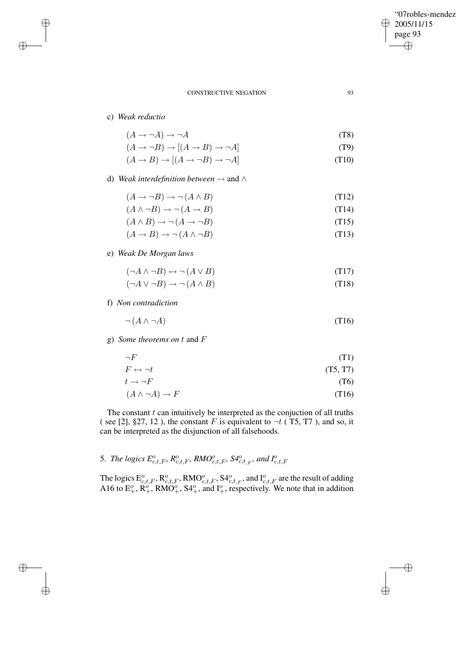✐

#### CONSTRUCTIVE NEGATION 93

c) *Weak reductio*

✐

✐

✐

✐

 $(A \rightarrow \neg A) \rightarrow \neg A$  (T8)

 $(A \rightarrow \neg B) \rightarrow [(A \rightarrow B) \rightarrow \neg A]$  (T9)

$$
(A \to B) \to [(A \to \neg B) \to \neg A] \tag{T10}
$$

d) *Weak interdefinition between* → and ∧

 $(A \to \neg B) \to \neg (A \land B)$  (T12)

$$
(A \land \neg B) \to \neg (A \to B)
$$
\n
$$
(A \land B) \to \neg (A \to \neg B)
$$
\n
$$
(T14)
$$
\n
$$
(T15)
$$

$$
(A \to B) \to \neg (A \land \neg B) \tag{113}
$$

e) *Weak De Morgan laws*

 $(\neg A \land \neg B) \leftrightarrow \neg (A \lor B)$  (T17)

 $(\neg A \lor \neg B) \rightarrow \neg (A \land B)$  (T18)

f) *Non contradiction*

$$
\neg(A \land \neg A) \tag{T16}
$$

g) *Some theorems on* t and F

$$
\neg F \tag{T1}
$$

$$
F \leftrightarrow \neg t \tag{T5, T7}
$$

$$
t \to \neg F \tag{T6}
$$

 $(A \land \neg A) \to F$  (T16)

The constant  $t$  can intuitively be interpreted as the conjuction of all truths ( see [2], §27, 12), the constant F is equivalent to  $\neg t$  (T5, T7), and so, it can be interpreted as the disjunction of all falsehoods.

# 5. *The logics*  $E_{c,t,F}^o$ ,  $R_{c,t,F}^o$ ,  $RMO_{c,t,F}^o$ ,  $S4_{c,t,F}^o$ , and  $I_{c,t,F}^o$

The logics  $E_{c,t,F}^o$ ,  $R_{c,t,F}^o$ ,  $RMO_{c,t,F}^o$ ,  $S4_{c,t,F}^o$ , and  $I_{c,t,F}^o$  are the result of adding A16 to  $E_+^o$ ,  $\overline{R_+^o}$ ,  $\overline{RMO_+^o}$ ,  $S4_+^o$ , and  $I_+^o$ , respectively. We note that in addition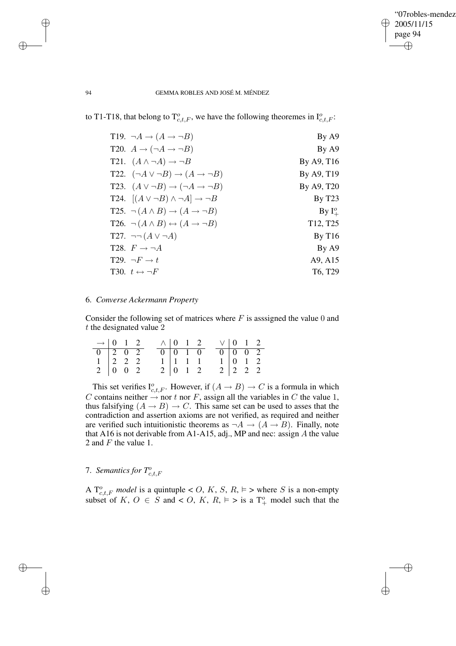✐

#### 94 GEMMA ROBLES AND JOSÉ M. MÉNDEZ

to T1-T18, that belong to  $T_{c,t,F}^o$ , we have the following theoremes in  $I_{c,t,F}^o$ :

| T19. $\neg A \rightarrow (A \rightarrow \neg B)$               | By A9                             |
|----------------------------------------------------------------|-----------------------------------|
| T20. $A \rightarrow (\neg A \rightarrow \neg B)$               | By A9                             |
| T21. $(A \wedge \neg A) \rightarrow \neg B$                    | By A9, T16                        |
| T22. $(\neg A \lor \neg B) \rightarrow (A \rightarrow \neg B)$ | By A9, T19                        |
| T23. $(A \lor \neg B) \rightarrow (\neg A \rightarrow \neg B)$ | By A9, T20                        |
| T24. $[(A \lor \neg B) \land \neg A] \rightarrow \neg B$       | By T23                            |
| T25. $\neg (A \land B) \rightarrow (A \rightarrow \neg B)$     | By $I^o_{\perp}$                  |
| T26. $\neg(A \land B) \leftrightarrow (A \rightarrow \neg B)$  | T <sub>12</sub> , T <sub>25</sub> |
| T27. $\neg\neg(A \lor \neg A)$                                 | By T16                            |
| T28. $F \rightarrow \neg A$                                    | By A9                             |
| T29. $\neg F \rightarrow t$                                    | A9, A15                           |
| T30. $t \leftrightarrow \neg F$                                | T <sub>6</sub> , T <sub>29</sub>  |

# 6. *Converse Ackermann Property*

Consider the following set of matrices where  $F$  is assigned the value 0 and t the designated value 2

| $\rightarrow$ 0 1 2                           |  |  | $\wedge$ 0 1 2              |                          |  | $\vee$ 0 1 2    |                          |  |
|-----------------------------------------------|--|--|-----------------------------|--------------------------|--|-----------------|--------------------------|--|
|                                               |  |  | $0 \quad 0 \quad 1 \quad 0$ |                          |  | $0 \t0 \t0 \t2$ |                          |  |
| $1 \mid 2 \mid 2 \mid 2$                      |  |  |                             | $1 \mid 1 \mid 1 \mid 1$ |  |                 | $1 \mid 0 \mid 1 \mid 2$ |  |
| $2 \begin{array}{ ccc} 0 & 0 & 2 \end{array}$ |  |  | $2 \mid 0 \quad 1 \quad 2$  |                          |  |                 | $2 \mid 2 \mid 2 \mid 2$ |  |

This set verifies  $I_{c,t,F}^o$ . However, if  $(A \rightarrow B) \rightarrow C$  is a formula in which C contains neither  $\rightarrow$  nor t nor F, assign all the variables in C the value 1, thus falsifying  $(A \rightarrow B) \rightarrow C$ . This same set can be used to asses that the contradiction and assertion axioms are not verified, as required and neither are verified such intuitionistic theorems as  $\neg A \rightarrow (A \rightarrow B)$ . Finally, note that A16 is not derivable from A1-A15, adj., MP and nec: assign  $A$  the value 2 and F the value 1.

7. *Semantics for*  $T_{c,t,F}^{\text{o}}$ 

A  $T_{c,t,F}^o$  *model* is a quintuple < O, K, S, R,  $\models$  > where S is a non-empty subset of K,  $O \in S$  and  $\lt O$ , K,  $R$ ,  $\models$   $\gt$  is a  $T^o_+$  model such that the

✐

✐

✐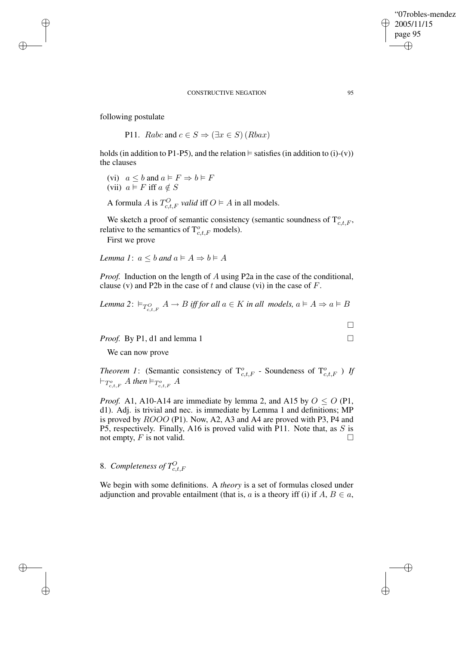### "07robles-mendez" 2005/11/15 page 95 ✐ ✐

✐

✐

#### CONSTRUCTIVE NEGATION 95

following postulate

✐

✐

✐

✐

P11. Rabc and  $c \in S \Rightarrow (\exists x \in S)(Rbax)$ 

holds (in addition to P1-P5), and the relation  $\models$  satisfies (in addition to (i)-(v)) the clauses

(vi)  $a \leq b$  and  $a \in F \Rightarrow b \in F$ (vii)  $a \models F$  iff  $a \notin S$ 

A formula *A* is  $T_{c,t,F}^O$  *valid* iff  $O \models A$  in all models.

We sketch a proof of semantic consistency (semantic soundness of  $T_{c,t,F}^o$ , relative to the semantics of  $T_{c,t,F}^o$  models).

First we prove

*Lemma 1*:  $a \leq b$  *and*  $a \in A \Rightarrow b \in A$ 

*Proof.* Induction on the length of A using P2a in the case of the conditional, clause (v) and P2b in the case of t and clause (vi) in the case of  $F$ .

*Lemma* 2:  $\vDash_{T_{c,t,F}^O} A \to B$  *iff for all*  $a \in K$  *in all models,*  $a \vDash A \Rightarrow a \vDash B$ 

*Proof.* By P1, d1 and lemma 1 □

We can now prove

*Theorem 1*: (Semantic consistency of  $T_{c,t,F}^o$  - Soundeness of  $T_{c,t,F}^o$ ) *If*  $\vdash_{T_{c,t,F}^o} A$  then  $\models_{T_{c,t,F}^o} A$ 

*Proof.* A1, A10-A14 are immediate by lemma 2, and A15 by  $O \le O$  (P1, d1). Adj. is trivial and nec. is immediate by Lemma 1 and definitions; MP is proved by ROOO (P1). Now, A2, A3 and A4 are proved with P3, P4 and P5, respectively. Finally, A16 is proved valid with P11. Note that, as S is not empty,  $F$  is not valid.

# 8. *Completeness of*  $T_{c,t,F}^O$

We begin with some definitions. A *theory* is a set of formulas closed under adjunction and provable entailment (that is, a is a theory iff (i) if  $A, B \in \mathfrak{a}$ ,

 $\Box$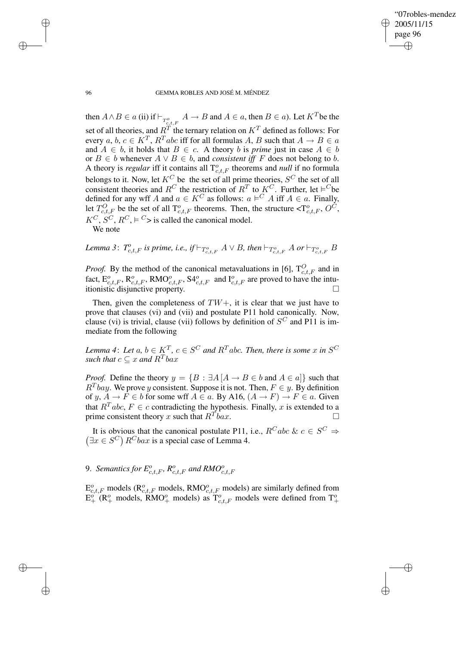✐

#### 96 GEMMA ROBLES AND JOSÉ M. MÉNDEZ

then  $A \wedge B \in a$  (ii) if  $\vdash_{T^o_{c,t,F}} A \to B$  and  $A \in a$ , then  $B \in a$ ). Let  $K^T$  be the set of all theories, and  $R^T$  the ternary relation on  $K^T$  defined as follows: For every  $a, b, c \in K^T$ ,  $R^Tabc$  iff for all formulas  $A, B$  such that  $A \to B \in a$ and  $A \in b$ , it holds that  $B \in c$ . A theory b is *prime* just in case  $A \in b$ or  $B \in b$  whenever  $A \lor B \in b$ , and *consistent iff* F does not belong to b. A theory is *regular* iff it contains all  $T_{c,t,F}^o$  theorems and *null* if no formula belongs to it. Now, let  $K^C$  be the set of all prime theories,  $S^C$  the set of all consistent theories and  $R^C$  the restriction of  $R^T$  to  $K^C$ . Further, let  $\vDash^C$  be defined for any wff A and  $a \in K^C$  as follows:  $a \models^C A$  iff  $A \in a$ . Finally, let  $T_{c,t,F}^O$  be the set of all  $T_{c,t,F}^o$  theorems. Then, the structure  $\langle T_{c,t,F}^O, O^C, \rangle$  $K^C$ ,  $S^C$ ,  $R^C$ ,  $\models C$ > is called the canonical model.

We note

*Lemma* 3:  $T^o_{c,t,F}$  *is prime, i.e., if*  $\vdash_{T^o_{c,t,F}} A \lor B$ *, then*  $\vdash_{T^o_{c,t,F}} A$  *or*  $\vdash_{T^o_{c,t,F}} B$ 

*Proof.* By the method of the canonical metavaluations in [6],  $T_{c,t,F}^{O}$  and in fact,  $E_{c,t,F}^o$ ,  $\mathbb{R}_{c,t,F}^o$ ,  $\mathbb{R}MO_{c,t,F}^o$ ,  $\mathbb{S4}_{c,t,F}^o$  and  $\mathbb{I}_{c,t,F}^o$  are proved to have the intuitionistic disjunctive property.

Then, given the completeness of  $TW+$ , it is clear that we just have to prove that clauses (vi) and (vii) and postulate P11 hold canonically. Now, clause (vi) is trivial, clause (vii) follows by definition of  $S^C$  and P11 is immediate from the following

 $L$ emma 4: Let  $a, b \in K^T$ ,  $c \in S^C$  and  $R^T$ abc. Then, there is some  $x$  in  $S^C$ such that  $c \subseteq x$  and  $R^Tbax$ 

*Proof.* Define the theory  $y = \{B : \exists A | A \rightarrow B \in b \text{ and } A \in a\}$  such that  $R^T$ bay. We prove y consistent. Suppose it is not. Then,  $F \in y$ . By definition of y,  $A \to F \in b$  for some wff  $A \in a$ . By A16,  $(A \to F) \to F \in a$ . Given that  $R^Tabc$ ,  $F \in c$  contradicting the hypothesis. Finally, x is extended to a prime consistent theory x such that  $R^T$ bax.  $\overline{b}ax.$ 

It is obvious that the canonical postulate P11, i.e.,  $R^C$ abc  $\& c \in S^C \Rightarrow$  $(\exists x \in S^C)$   $R^C$ *bax* is a special case of Lemma 4.

9. *Semantics for*  $E_{c,t,F}^o$ ,  $R_{c,t,F}^o$  and  $RMO_{c,t,F}^o$ 

 $E_{c,t,F}^o$  models ( $\mathsf{R}_{c,t,F}^o$  models,  $\mathsf{RMO}_{c,t,F}^o$  models) are similarly defined from  $E_+^o$  (R<sup>o</sup><sub>+</sub> models, RMO<sup>o</sup><sub>+</sub> models) as  $T_{c,t,F}^o$  models were defined from  $T_+^o$ 

✐

✐

✐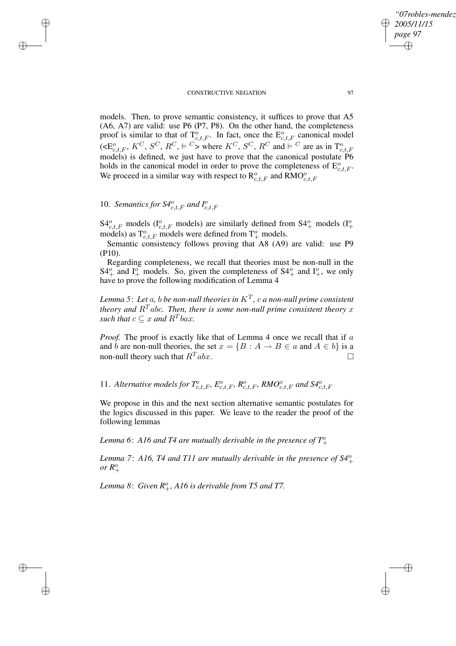### CONSTRUCTIVE NEGATION 97

models. Then, to prove semantic consistency, it suffices to prove that A5 (A6, A7) are valid: use P6 (P7, P8). On the other hand, the completeness proof is similar to that of  $T_{c,t,F}^o$ . In fact, once the  $E_{c,t,F}^o$  canonical model  $(\leq E_{c,t,F}^o, K^C, S^C, R^C, \vDash^C)$  where  $K^C, S^C, R^C$  and  $\vDash^C$  are as in  $T_{c,t,F}^o$ models) is defined, we just have to prove that the canonical postulate P6 holds in the canonical model in order to prove the completeness of  $E_{c,t,F}^o$ . We proceed in a similar way with respect to  $\mathbb{R}^o_{c,t,F}$  and  $\mathbb{R}^o_{c,t,F}$ 

# 10. *Semantics for*  $S4^o_{c,t,F}$  and  $I^o_{c,t,F}$

✐

✐

✐

✐

 $S4_{c,t,F}^{o}$  models ( $I_{c,t,F}^{o}$  models) are similarly defined from  $S4_{+}^{o}$  models ( $I_{+}^{o}$ ) models) as  $T_{c,t,F}^o$  models were defined from  $T_+^o$  models.

Semantic consistency follows proving that A8 (A9) are valid: use P9 (P10).

Regarding completeness, we recall that theories must be non-null in the  $S4^o_+$  and  $I^o_+$  models. So, given the completeness of  $S4^o_+$  and  $I^o_+$ , we only have to prove the following modification of Lemma 4

*Lemma 5*: *Let* a*,* b *be non-null theories in* K<sup>T</sup> *,* c *a non-null prime consistent theory* and  $R<sup>T</sup>$  abc. Then, there is some non-null prime consistent theory x such that  $c \subseteq x$  and  $R^Tbax$ .

*Proof.* The proof is exactly like that of Lemma 4 once we recall that if a and b are non-null theories, the set  $x = \{B : A \rightarrow B \in a \text{ and } A \in b\}$  is a non-null theory such that  $R^T$ abx.

11. Alternative models for  $T_{c,t,F}^o$ ,  $E_{c,t,F}^o$ ,  $R_{c,t,F}^o$ ,  $RMO_{c,t,F}^o$  and  $S4_{c,t,F}^o$ 

We propose in this and the next section alternative semantic postulates for the logics discussed in this paper. We leave to the reader the proof of the following lemmas

Lemma 6: A16 and T4 are mutually derivable in the presence of  $T^o_+$ 

*Lemma 7*: *A16, T4 and T11 are mutually derivable in the presence of S4*<sup>o</sup> +  $or R^o_+$ 

*Lemma* 8: *Given*  $R_+^o$ , A16 *is derivable from* T5 *and* T7.

*"07robles-mendez"*

*2005/11/15 page 97*

✐

✐

✐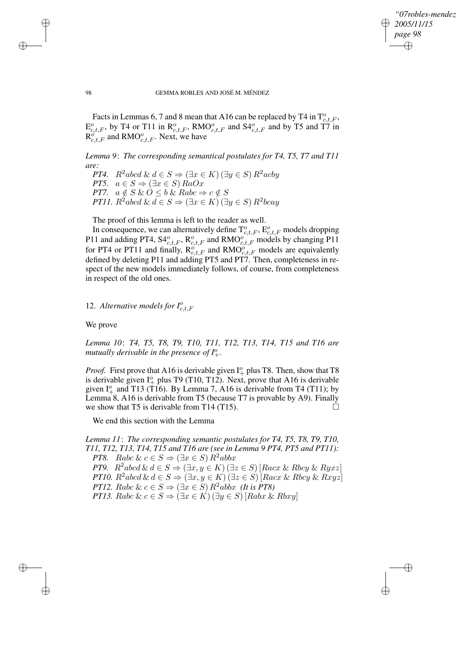*"07robles-mendez" 2005/11/15 page 98* ✐ ✐

✐

✐

98 GEMMA ROBLES AND JOSÉ M. MÉNDEZ

Facts in Lemmas 6, 7 and 8 mean that A16 can be replaced by T4 in  $T_{c,t,F}^o$ ,  $E_{c,t,F}^o$ , by T4 or T11 in  $\mathsf{R}_{c,t,F}^o$ , RMO $_{c,t,F}^o$  and S4 $_{c,t,F}^o$  and by T5 and T7 in  $R_{c,t,F}^{\delta}$  and RMO $_{c,t,F}^{\delta}$ . Next, we have

*Lemma 9*: *The corresponding semantical postulates for T4, T5, T7 and T11 are:*

*PT4.*  $R^2abcd \& d \in S \Rightarrow (\exists x \in K) (\exists y \in S) R^2acb y$ *PT5.*  $a \in S \Rightarrow (\exists x \in S) \text{Ra}Ox$ *PT7.*  $a \notin S \& O \leq b \& Rabc \Rightarrow c \notin S$ *PT11.*  $R^2$ abcd &  $d \in S \Rightarrow (\exists x \in K) (\exists y \in S) R^2$ bcay

The proof of this lemma is left to the reader as well.

In consequence, we can alternatively define  $T_{c,t,F}^o$ ,  $E_{c,t,F}^o$  models dropping P11 and adding PT4,  $S4^o_{c,t,F}$ ,  $R^o_{c,t,F}$  and  $RMO^o_{c,t,F}$  models by changing P11 for PT4 or PT11 and finally,  $\mathbb{R}_{c,t,F}^{\sigma}$  and  $\mathbb{R}MO_{c,t,F}^{\sigma}$  models are equivalently defined by deleting P11 and adding PT5 and PT7. Then, completeness in respect of the new models immediately follows, of course, from completeness in respect of the old ones.

12. *Alternative models for*  $I_{c,t,F}^{\text{o}}$ 

We prove

✐

✐

✐

✐

*Lemma 10*: *T4, T5, T8, T9, T10, T11, T12, T13, T14, T15 and T16 are mutually derivable in the presence of*  $I^o_+$ .

*Proof.* First prove that A16 is derivable given  $I^o_+$  plus T8. Then, show that T8 is derivable given  $I^o_+$  plus T9 (T10, T12). Next, prove that A16 is derivable given  $I^o_+$  and T13 (T16). By Lemma 7, A16 is derivable from T4 (T11); by Lemma 8, A16 is derivable from T5 (because T7 is provable by A9). Finally we show that T5 is derivable from T14 (T15).  $\Box$ 

We end this section with the Lemma

*Lemma 11*: *The corresponding semantic postulates for T4, T5, T8, T9, T10, T11, T12, T13, T14, T15 and T16 are (see in Lemma 9 PT4, PT5 and PT11): PT8.* Rabc &  $c \in S \Rightarrow (\exists x \in S) R^2abbx$ *PT9.*  $R^2abcd \& d \in S \Rightarrow (\exists x, y \in K) (\exists z \in S) [Racz \& Rbcy \& Ryxz]$ *PT10.*  $R^2$ abcd &  $d \in S \Rightarrow (\exists x, y \in K) (\exists z \in S)$ [ $Racx$  & Rbcy & Rxyz] *PT12.* Rabc &  $c \in S \Rightarrow (\exists x \in S) R^2abbx$  *(It is PT8) PT13.* Rabc &  $c \in S \Rightarrow (\exists x \in K) (\exists y \in S)$  [Rabx & Rbxy]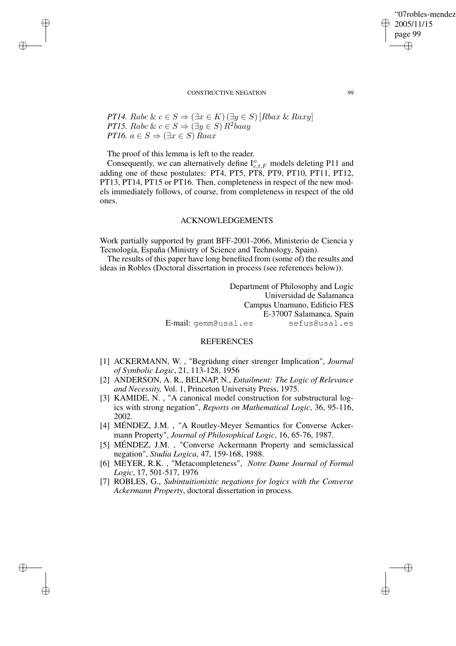### "07robles-mendez" 2005/11/15 page 99 ✐ ✐

✐

✐

#### CONSTRUCTIVE NEGATION 99

*PT14.* Rabc &  $c \in S \Rightarrow (\exists x \in K) (\exists y \in S)$  [Rbax & Raxy] *PT15.* Rabc &  $c \in S \Rightarrow (\exists y \in S) \hat{R}^2$ baay *PT16.*  $a \in S \Rightarrow (\exists x \in S)$  Raax

The proof of this lemma is left to the reader.

✐

✐

✐

✐

Consequently, we can alternatively define  $I_{c,t,F}^o$  models deleting P11 and adding one of these postulates: PT4, PT5, PT8, PT9, PT10, PT11, PT12, PT13, PT14, PT15 or PT16. Then, completeness in respect of the new models immediately follows, of course, from completeness in respect of the old ones.

#### ACKNOWLEDGEMENTS

Work partially supported by grant BFF-2001-2066, Ministerio de Ciencia y Tecnología, España (Ministry of Science and Technology, Spain).

The results of this paper have long benefited from (some of) the results and ideas in Robles (Doctoral dissertation in process (see references below)).

> Department of Philosophy and Logic Universidad de Salamanca Campus Unamuno, Edificio FES E-37007 Salamanca, Spain E-mail: gemm@usal.es sefus@usal.es

### **REFERENCES**

- [1] ACKERMANN, W. , "Begrüdung einer strenger Implication", *Journal of Symbolic Logic*, 21, 113-128, 1956
- [2] ANDERSON, A. R., BELNAP, N., *Entailment: The Logic of Relevance and Necessity,* Vol. 1, Princeton University Press, 1975.
- [3] KAMIDE, N., "A canonical model construction for substructural logics with strong negation", *Reports on Mathematical Logic*, 36, 95-116, 2002.
- [4] MÉNDEZ, J.M. , "A Routley-Meyer Semantics for Converse Ackermann Property", *Journal of Philosophical Logic*, 16, 65-76, 1987.
- [5] MÉNDEZ, J.M. , "Converse Ackermann Property and semiclassical negation", *Studia Logica*, 47, 159-168, 1988.
- [6] MEYER, R.K. , "Metacompleteness", *Notre Dame Journal of Formal Logic*, 17, 501-517, 1976
- [7] ROBLES, G., *Subintuitionistic negations for logics with the Converse Ackermann Property*, doctoral dissertation in process.